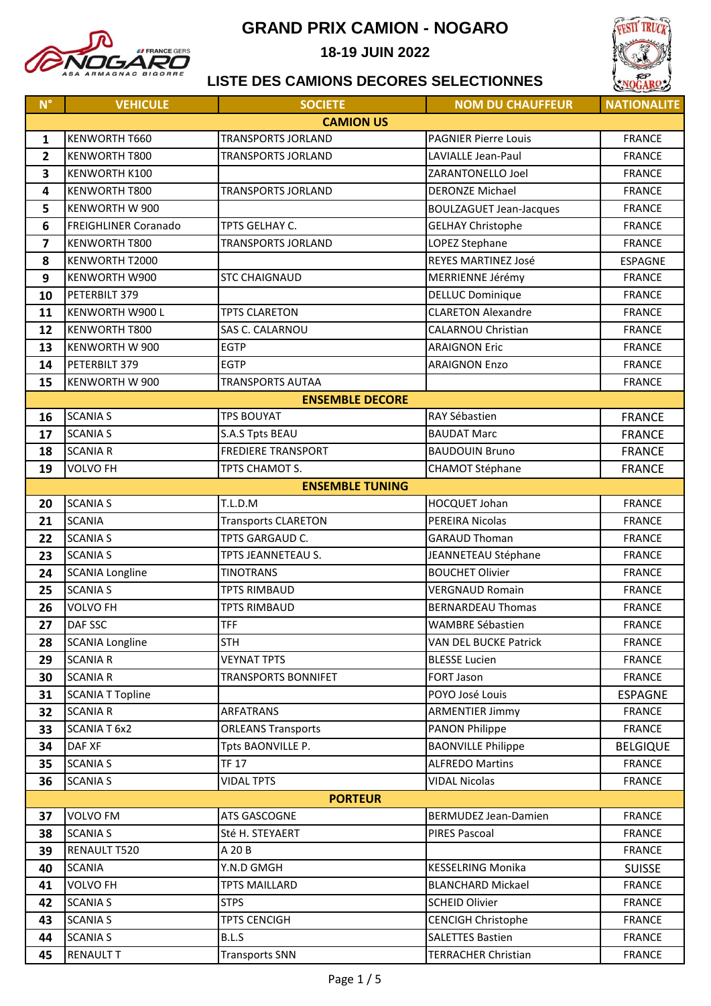

**18-19 JUIN 2022**



| $N^{\circ}$             | <b>VEHICULE</b>             | <b>SOCIETE</b>             | <b>NOM DU CHAUFFEUR</b>        | <b>NATIONALITE</b> |
|-------------------------|-----------------------------|----------------------------|--------------------------------|--------------------|
|                         |                             | <b>CAMION US</b>           |                                |                    |
| 1                       | KENWORTH T660               | <b>TRANSPORTS JORLAND</b>  | <b>PAGNIER Pierre Louis</b>    | <b>FRANCE</b>      |
| $\overline{\mathbf{2}}$ | KENWORTH T800               | <b>TRANSPORTS JORLAND</b>  | LAVIALLE Jean-Paul             | <b>FRANCE</b>      |
| 3                       | KENWORTH K100               |                            | ZARANTONELLO Joel              | <b>FRANCE</b>      |
| 4                       | KENWORTH T800               | TRANSPORTS JORLAND         | <b>DERONZE Michael</b>         | <b>FRANCE</b>      |
| 5                       | KENWORTH W 900              |                            | <b>BOULZAGUET Jean-Jacques</b> | <b>FRANCE</b>      |
| 6                       | <b>FREIGHLINER Coranado</b> | TPTS GELHAY C.             | <b>GELHAY Christophe</b>       | <b>FRANCE</b>      |
| 7                       | KENWORTH T800               | <b>TRANSPORTS JORLAND</b>  | LOPEZ Stephane                 | <b>FRANCE</b>      |
| 8                       | KENWORTH T2000              |                            | REYES MARTINEZ José            | <b>ESPAGNE</b>     |
| 9                       | KENWORTH W900               | <b>STC CHAIGNAUD</b>       | MERRIENNE Jérémy               | <b>FRANCE</b>      |
| 10                      | PETERBILT 379               |                            | <b>DELLUC Dominique</b>        | <b>FRANCE</b>      |
| 11                      | KENWORTH W900 L             | <b>TPTS CLARETON</b>       | <b>CLARETON Alexandre</b>      | <b>FRANCE</b>      |
| 12                      | <b>KENWORTH T800</b>        | SAS C. CALARNOU            | <b>CALARNOU Christian</b>      | <b>FRANCE</b>      |
| 13                      | <b>KENWORTH W 900</b>       | <b>EGTP</b>                | <b>ARAIGNON Eric</b>           | <b>FRANCE</b>      |
| 14                      | PETERBILT 379               | <b>EGTP</b>                | <b>ARAIGNON Enzo</b>           | <b>FRANCE</b>      |
| 15                      | KENWORTH W 900              | <b>TRANSPORTS AUTAA</b>    |                                | <b>FRANCE</b>      |
|                         |                             | <b>ENSEMBLE DECORE</b>     |                                |                    |
| 16                      | <b>SCANIA S</b>             | <b>TPS BOUYAT</b>          | RAY Sébastien                  | <b>FRANCE</b>      |
| 17                      | <b>SCANIA S</b>             | S.A.S Tpts BEAU            | <b>BAUDAT Marc</b>             | <b>FRANCE</b>      |
| 18                      | <b>SCANIA R</b>             | <b>FREDIERE TRANSPORT</b>  | <b>BAUDOUIN Bruno</b>          | <b>FRANCE</b>      |
| 19                      | <b>VOLVO FH</b>             | TPTS CHAMOT S.             | <b>CHAMOT Stéphane</b>         | <b>FRANCE</b>      |
|                         |                             | <b>ENSEMBLE TUNING</b>     |                                |                    |
| 20                      | <b>SCANIA S</b>             | T.L.D.M                    | HOCQUET Johan                  | <b>FRANCE</b>      |
| 21                      | <b>SCANIA</b>               | <b>Transports CLARETON</b> | PEREIRA Nicolas                | <b>FRANCE</b>      |
| 22                      | <b>SCANIA S</b>             | TPTS GARGAUD C.            | <b>GARAUD Thoman</b>           | <b>FRANCE</b>      |
| 23                      | <b>SCANIA S</b>             | TPTS JEANNETEAU S.         | JEANNETEAU Stéphane            | <b>FRANCE</b>      |
| 24                      | <b>SCANIA Longline</b>      | <b>TINOTRANS</b>           | <b>BOUCHET Olivier</b>         | <b>FRANCE</b>      |
| 25                      | <b>SCANIA S</b>             | <b>TPTS RIMBAUD</b>        | <b>VERGNAUD Romain</b>         | <b>FRANCE</b>      |
| 26                      | VOLVO FH                    | <b>TPTS RIMBAUD</b>        | <b>BERNARDEAU Thomas</b>       | <b>FRANCE</b>      |
| 27                      | DAF SSC                     | <b>TFF</b>                 | <b>WAMBRE Sébastien</b>        | <b>FRANCE</b>      |
| 28                      | <b>SCANIA Longline</b>      | <b>STH</b>                 | VAN DEL BUCKE Patrick          | <b>FRANCE</b>      |
| 29                      | <b>SCANIA R</b>             | <b>VEYNAT TPTS</b>         | <b>BLESSE Lucien</b>           | <b>FRANCE</b>      |
| 30                      | <b>SCANIA R</b>             | TRANSPORTS BONNIFET        | FORT Jason                     | <b>FRANCE</b>      |
| 31                      | <b>SCANIA T Topline</b>     |                            | POYO José Louis                | <b>ESPAGNE</b>     |
| 32                      | <b>SCANIA R</b>             | <b>ARFATRANS</b>           | <b>ARMENTIER Jimmy</b>         | <b>FRANCE</b>      |
| 33                      | SCANIA T 6x2                | <b>ORLEANS Transports</b>  | <b>PANON Philippe</b>          | <b>FRANCE</b>      |
| 34                      | DAF XF                      | Tpts BAONVILLE P.          | <b>BAONVILLE Philippe</b>      | <b>BELGIQUE</b>    |
| 35                      | <b>SCANIA S</b>             | <b>TF 17</b>               | <b>ALFREDO Martins</b>         | <b>FRANCE</b>      |
| 36                      | <b>SCANIA S</b>             | <b>VIDAL TPTS</b>          | <b>VIDAL Nicolas</b>           | <b>FRANCE</b>      |
| <b>PORTEUR</b>          |                             |                            |                                |                    |
| 37                      | <b>VOLVO FM</b>             | ATS GASCOGNE               | BERMUDEZ Jean-Damien           | <b>FRANCE</b>      |
| 38                      | <b>SCANIA S</b>             | Sté H. STEYAERT            | <b>PIRES Pascoal</b>           | <b>FRANCE</b>      |
| 39                      | RENAULT T520                | A 20 B                     |                                | <b>FRANCE</b>      |
| 40                      | <b>SCANIA</b>               | Y.N.D GMGH                 | <b>KESSELRING Monika</b>       | <b>SUISSE</b>      |
| 41                      | VOLVO FH                    | <b>TPTS MAILLARD</b>       | <b>BLANCHARD Mickael</b>       | <b>FRANCE</b>      |
| 42                      | <b>SCANIA S</b>             | <b>STPS</b>                | <b>SCHEID Olivier</b>          | <b>FRANCE</b>      |
| 43                      | <b>SCANIA S</b>             | <b>TPTS CENCIGH</b>        | <b>CENCIGH Christophe</b>      | <b>FRANCE</b>      |
| 44                      | <b>SCANIA S</b>             | B.L.S                      | <b>SALETTES Bastien</b>        | <b>FRANCE</b>      |
| 45                      | <b>RENAULT T</b>            | <b>Transports SNN</b>      | <b>TERRACHER Christian</b>     | <b>FRANCE</b>      |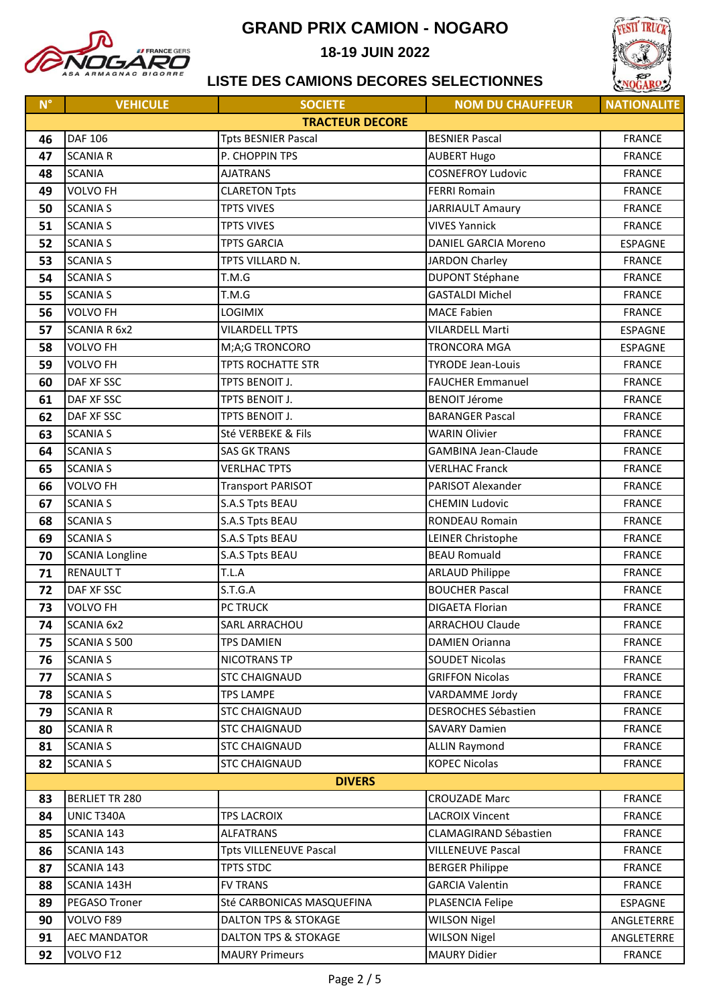

**18-19 JUIN 2022**



| $\mathsf{N}^\circ$ | <b>VEHICULE</b>        | <b>SOCIETE</b>                  | <b>NOM DU CHAUFFEUR</b>      | <b>NATIONALITE</b> |  |
|--------------------|------------------------|---------------------------------|------------------------------|--------------------|--|
|                    |                        | <b>TRACTEUR DECORE</b>          |                              |                    |  |
| 46                 | DAF 106                | <b>Tpts BESNIER Pascal</b>      | <b>BESNIER Pascal</b>        | <b>FRANCE</b>      |  |
| 47                 | <b>SCANIA R</b>        | P. CHOPPIN TPS                  | <b>AUBERT Hugo</b>           | <b>FRANCE</b>      |  |
| 48                 | <b>SCANIA</b>          | <b>AJATRANS</b>                 | <b>COSNEFROY Ludovic</b>     | <b>FRANCE</b>      |  |
| 49                 | <b>VOLVO FH</b>        | <b>CLARETON Tpts</b>            | <b>FERRI Romain</b>          | <b>FRANCE</b>      |  |
| 50                 | <b>SCANIA S</b>        | <b>TPTS VIVES</b>               | <b>JARRIAULT Amaury</b>      | <b>FRANCE</b>      |  |
| 51                 | <b>SCANIA S</b>        | <b>TPTS VIVES</b>               | <b>VIVES Yannick</b>         | <b>FRANCE</b>      |  |
| 52                 | <b>SCANIA S</b>        | <b>TPTS GARCIA</b>              | <b>DANIEL GARCIA Moreno</b>  | <b>ESPAGNE</b>     |  |
| 53                 | <b>SCANIA S</b>        | TPTS VILLARD N.                 | JARDON Charley               | <b>FRANCE</b>      |  |
| 54                 | <b>SCANIA S</b>        | T.M.G                           | <b>DUPONT Stéphane</b>       | <b>FRANCE</b>      |  |
| 55                 | <b>SCANIA S</b>        | T.M.G                           | <b>GASTALDI Michel</b>       | <b>FRANCE</b>      |  |
| 56                 | <b>VOLVO FH</b>        | <b>LOGIMIX</b>                  | <b>MACE Fabien</b>           | <b>FRANCE</b>      |  |
| 57                 | <b>SCANIA R 6x2</b>    | <b>VILARDELL TPTS</b>           | <b>VILARDELL Marti</b>       | <b>ESPAGNE</b>     |  |
| 58                 | <b>VOLVO FH</b>        | M;A;G TRONCORO                  | <b>TRONCORA MGA</b>          | <b>ESPAGNE</b>     |  |
| 59                 | <b>VOLVO FH</b>        | <b>TPTS ROCHATTE STR</b>        | <b>TYRODE Jean-Louis</b>     | <b>FRANCE</b>      |  |
| 60                 | DAF XF SSC             | TPTS BENOIT J.                  | <b>FAUCHER Emmanuel</b>      | <b>FRANCE</b>      |  |
| 61                 | DAF XF SSC             | TPTS BENOIT J.                  | <b>BENOIT Jérome</b>         | <b>FRANCE</b>      |  |
| 62                 | DAF XF SSC             | TPTS BENOIT J.                  | <b>BARANGER Pascal</b>       | <b>FRANCE</b>      |  |
| 63                 | <b>SCANIA S</b>        | Sté VERBEKE & Fils              | <b>WARIN Olivier</b>         | <b>FRANCE</b>      |  |
| 64                 | <b>SCANIA S</b>        | <b>SAS GK TRANS</b>             | <b>GAMBINA Jean-Claude</b>   | <b>FRANCE</b>      |  |
| 65                 | <b>SCANIA S</b>        | <b>VERLHAC TPTS</b>             | <b>VERLHAC Franck</b>        | <b>FRANCE</b>      |  |
| 66                 | <b>VOLVO FH</b>        | <b>Transport PARISOT</b>        | PARISOT Alexander            | <b>FRANCE</b>      |  |
| 67                 | <b>SCANIA S</b>        | S.A.S Tpts BEAU                 | <b>CHEMIN Ludovic</b>        | <b>FRANCE</b>      |  |
| 68                 | <b>SCANIA S</b>        | S.A.S Tpts BEAU                 | RONDEAU Romain               | <b>FRANCE</b>      |  |
| 69                 | <b>SCANIA S</b>        | S.A.S Tpts BEAU                 | LEINER Christophe            | <b>FRANCE</b>      |  |
| 70                 | <b>SCANIA Longline</b> | S.A.S Tpts BEAU                 | <b>BEAU Romuald</b>          | <b>FRANCE</b>      |  |
| 71                 | <b>RENAULT T</b>       | T.L.A                           | <b>ARLAUD Philippe</b>       | <b>FRANCE</b>      |  |
| 72                 | DAF XF SSC             | S.T.G.A                         | <b>BOUCHER Pascal</b>        | <b>FRANCE</b>      |  |
| 73                 | <b>VOLVO FH</b>        | PC TRUCK                        | <b>DIGAETA Florian</b>       | <b>FRANCE</b>      |  |
| 74                 | <b>SCANIA 6x2</b>      | SARL ARRACHOU                   | <b>ARRACHOU Claude</b>       | <b>FRANCE</b>      |  |
| 75                 | SCANIA S 500           | <b>TPS DAMIEN</b>               | <b>DAMIEN Orianna</b>        | <b>FRANCE</b>      |  |
| 76                 | <b>SCANIA S</b>        | NICOTRANS TP                    | <b>SOUDET Nicolas</b>        | <b>FRANCE</b>      |  |
| 77                 | <b>SCANIA S</b>        | <b>STC CHAIGNAUD</b>            | <b>GRIFFON Nicolas</b>       | <b>FRANCE</b>      |  |
| 78                 | <b>SCANIA S</b>        | <b>TPS LAMPE</b>                | VARDAMME Jordy               | <b>FRANCE</b>      |  |
| 79                 | <b>SCANIA R</b>        | <b>STC CHAIGNAUD</b>            | DESROCHES Sébastien          | <b>FRANCE</b>      |  |
| 80                 | <b>SCANIA R</b>        | <b>STC CHAIGNAUD</b>            | <b>SAVARY Damien</b>         | <b>FRANCE</b>      |  |
| 81                 | <b>SCANIA S</b>        | <b>STC CHAIGNAUD</b>            | <b>ALLIN Raymond</b>         | <b>FRANCE</b>      |  |
| 82                 | <b>SCANIA S</b>        | <b>STC CHAIGNAUD</b>            | <b>KOPEC Nicolas</b>         | <b>FRANCE</b>      |  |
|                    | <b>DIVERS</b>          |                                 |                              |                    |  |
| 83                 | <b>BERLIET TR 280</b>  |                                 | <b>CROUZADE Marc</b>         | <b>FRANCE</b>      |  |
| 84                 | UNIC T340A             | <b>TPS LACROIX</b>              | <b>LACROIX Vincent</b>       | <b>FRANCE</b>      |  |
| 85                 | SCANIA 143             | <b>ALFATRANS</b>                | <b>CLAMAGIRAND Sébastien</b> | <b>FRANCE</b>      |  |
| 86                 | SCANIA 143             | <b>Tpts VILLENEUVE Pascal</b>   | <b>VILLENEUVE Pascal</b>     | <b>FRANCE</b>      |  |
| 87                 | SCANIA 143             | <b>TPTS STDC</b>                | <b>BERGER Philippe</b>       | <b>FRANCE</b>      |  |
| 88                 | SCANIA 143H            | <b>FV TRANS</b>                 | <b>GARCIA Valentin</b>       | <b>FRANCE</b>      |  |
| 89                 | PEGASO Troner          | Sté CARBONICAS MASQUEFINA       | PLASENCIA Felipe             | ESPAGNE            |  |
| 90                 | VOLVO F89              | DALTON TPS & STOKAGE            | <b>WILSON Nigel</b>          | ANGLETERRE         |  |
| 91                 | <b>AEC MANDATOR</b>    | <b>DALTON TPS &amp; STOKAGE</b> | <b>WILSON Nigel</b>          | ANGLETERRE         |  |
| 92                 | VOLVO F12              | <b>MAURY Primeurs</b>           | <b>MAURY Didier</b>          | <b>FRANCE</b>      |  |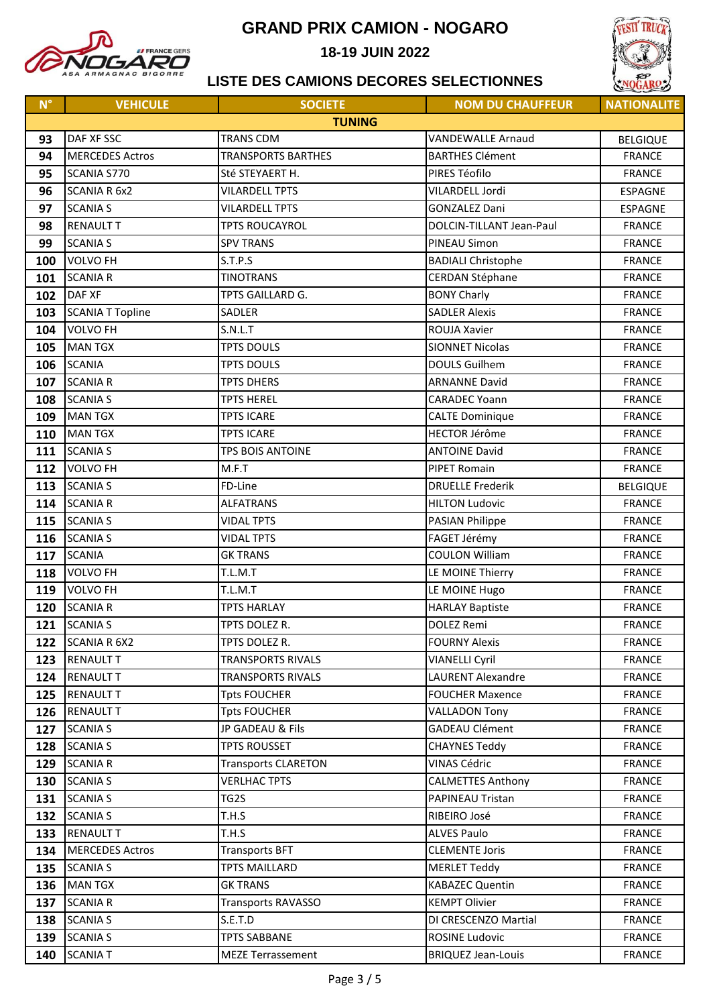

18-19 JUIN 2022



| $N^{\circ}$ | <b>VEHICULE</b>         | <b>SOCIETE</b>             | <b>NOM DU CHAUFFEUR</b>   | <b>NATIONALITE</b> |  |
|-------------|-------------------------|----------------------------|---------------------------|--------------------|--|
|             | <b>TUNING</b>           |                            |                           |                    |  |
| 93          | DAF XF SSC              | <b>TRANS CDM</b>           | <b>VANDEWALLE Arnaud</b>  | <b>BELGIQUE</b>    |  |
| 94          | <b>MERCEDES Actros</b>  | <b>TRANSPORTS BARTHES</b>  | <b>BARTHES Clément</b>    | <b>FRANCE</b>      |  |
| 95          | SCANIA S770             | Sté STEYAERT H.            | PIRES Téofilo             | <b>FRANCE</b>      |  |
| 96          | <b>SCANIA R 6x2</b>     | <b>VILARDELL TPTS</b>      | VILARDELL Jordi           | <b>ESPAGNE</b>     |  |
| 97          | <b>SCANIA S</b>         | <b>VILARDELL TPTS</b>      | <b>GONZALEZ Dani</b>      | <b>ESPAGNE</b>     |  |
| 98          | <b>RENAULT T</b>        | <b>TPTS ROUCAYROL</b>      | DOLCIN-TILLANT Jean-Paul  | <b>FRANCE</b>      |  |
| 99          | <b>SCANIA S</b>         | <b>SPV TRANS</b>           | PINEAU Simon              | <b>FRANCE</b>      |  |
| 100         | <b>VOLVO FH</b>         | S.T.P.S                    | <b>BADIALI Christophe</b> | <b>FRANCE</b>      |  |
| 101         | <b>SCANIA R</b>         | <b>TINOTRANS</b>           | <b>CERDAN Stéphane</b>    | <b>FRANCE</b>      |  |
| 102         | <b>DAF XF</b>           | TPTS GAILLARD G.           | <b>BONY Charly</b>        | <b>FRANCE</b>      |  |
| 103         | <b>SCANIA T Topline</b> | SADLER                     | <b>SADLER Alexis</b>      | <b>FRANCE</b>      |  |
| 104         | <b>VOLVO FH</b>         | S.N.L.T                    | ROUJA Xavier              | <b>FRANCE</b>      |  |
| 105         | <b>MAN TGX</b>          | <b>TPTS DOULS</b>          | <b>SIONNET Nicolas</b>    | <b>FRANCE</b>      |  |
| 106         | <b>SCANIA</b>           | <b>TPTS DOULS</b>          | <b>DOULS Guilhem</b>      | <b>FRANCE</b>      |  |
| 107         | <b>SCANIA R</b>         | <b>TPTS DHERS</b>          | <b>ARNANNE David</b>      | <b>FRANCE</b>      |  |
| 108         | <b>SCANIA S</b>         | <b>TPTS HEREL</b>          | <b>CARADEC Yoann</b>      | <b>FRANCE</b>      |  |
| 109         | <b>MAN TGX</b>          | <b>TPTS ICARE</b>          | <b>CALTE Dominique</b>    | <b>FRANCE</b>      |  |
| 110         | <b>MAN TGX</b>          | <b>TPTS ICARE</b>          | <b>HECTOR Jérôme</b>      | <b>FRANCE</b>      |  |
| 111         | <b>SCANIA S</b>         | TPS BOIS ANTOINE           | <b>ANTOINE David</b>      | <b>FRANCE</b>      |  |
| 112         | <b>VOLVO FH</b>         | M.F.T                      | <b>PIPET Romain</b>       | <b>FRANCE</b>      |  |
| 113         | <b>SCANIA S</b>         | FD-Line                    | <b>DRUELLE Frederik</b>   | <b>BELGIQUE</b>    |  |
| 114         | <b>SCANIA R</b>         | <b>ALFATRANS</b>           | <b>HILTON Ludovic</b>     | <b>FRANCE</b>      |  |
| 115         | <b>SCANIA S</b>         | <b>VIDAL TPTS</b>          | <b>PASIAN Philippe</b>    | <b>FRANCE</b>      |  |
| 116         | <b>SCANIA S</b>         | <b>VIDAL TPTS</b>          | FAGET Jérémy              | <b>FRANCE</b>      |  |
| 117         | <b>SCANIA</b>           | <b>GK TRANS</b>            | <b>COULON William</b>     | <b>FRANCE</b>      |  |
| 118         | <b>VOLVO FH</b>         | T.L.M.T                    | LE MOINE Thierry          | <b>FRANCE</b>      |  |
| 119         | <b>VOLVO FH</b>         | T.L.M.T                    | LE MOINE Hugo             | <b>FRANCE</b>      |  |
| 120         | <b>SCANIA R</b>         | <b>TPTS HARLAY</b>         | <b>HARLAY Baptiste</b>    | <b>FRANCE</b>      |  |
| 121         | <b>SCANIA S</b>         | TPTS DOLEZ R.              | <b>DOLEZ Remi</b>         | <b>FRANCE</b>      |  |
| 122         | <b>SCANIA R 6X2</b>     | TPTS DOLEZ R.              | <b>FOURNY Alexis</b>      | <b>FRANCE</b>      |  |
| 123         | <b>RENAULT T</b>        | <b>TRANSPORTS RIVALS</b>   | <b>VIANELLI Cyril</b>     | <b>FRANCE</b>      |  |
| 124         | <b>RENAULT T</b>        | <b>TRANSPORTS RIVALS</b>   | <b>LAURENT Alexandre</b>  | <b>FRANCE</b>      |  |
| 125         | <b>RENAULT T</b>        | <b>Tpts FOUCHER</b>        | <b>FOUCHER Maxence</b>    | <b>FRANCE</b>      |  |
| 126         | <b>RENAULT T</b>        | <b>Tpts FOUCHER</b>        | <b>VALLADON Tony</b>      | <b>FRANCE</b>      |  |
| 127         | <b>SCANIA S</b>         | JP GADEAU & Fils           | <b>GADEAU Clément</b>     | <b>FRANCE</b>      |  |
| 128         | <b>SCANIA S</b>         | <b>TPTS ROUSSET</b>        | <b>CHAYNES Teddy</b>      | <b>FRANCE</b>      |  |
| 129         | <b>SCANIA R</b>         | <b>Transports CLARETON</b> | <b>VINAS Cédric</b>       | <b>FRANCE</b>      |  |
| 130         | <b>SCANIA S</b>         | <b>VERLHAC TPTS</b>        | <b>CALMETTES Anthony</b>  | <b>FRANCE</b>      |  |
| 131         | <b>SCANIA S</b>         | TG2S                       | PAPINEAU Tristan          | <b>FRANCE</b>      |  |
| 132         | <b>SCANIA S</b>         | T.H.S                      | RIBEIRO José              | <b>FRANCE</b>      |  |
| 133         | <b>RENAULT T</b>        | T.H.S                      | <b>ALVES Paulo</b>        | <b>FRANCE</b>      |  |
| 134         | <b>MERCEDES Actros</b>  | <b>Transports BFT</b>      | <b>CLEMENTE Joris</b>     | <b>FRANCE</b>      |  |
| 135         | <b>SCANIA S</b>         | <b>TPTS MAILLARD</b>       | <b>MERLET Teddy</b>       | <b>FRANCE</b>      |  |
| 136         | <b>MAN TGX</b>          | <b>GK TRANS</b>            | <b>KABAZEC Quentin</b>    | <b>FRANCE</b>      |  |
| 137         | <b>SCANIA R</b>         | <b>Transports RAVASSO</b>  | <b>KEMPT Olivier</b>      | <b>FRANCE</b>      |  |
| 138         | <b>SCANIA S</b>         | S.E.T.D                    | DI CRESCENZO Martial      | <b>FRANCE</b>      |  |
| 139         | <b>SCANIA S</b>         | <b>TPTS SABBANE</b>        | <b>ROSINE Ludovic</b>     | <b>FRANCE</b>      |  |
| 140         | <b>SCANIA T</b>         | <b>MEZE Terrassement</b>   | <b>BRIQUEZ Jean-Louis</b> | <b>FRANCE</b>      |  |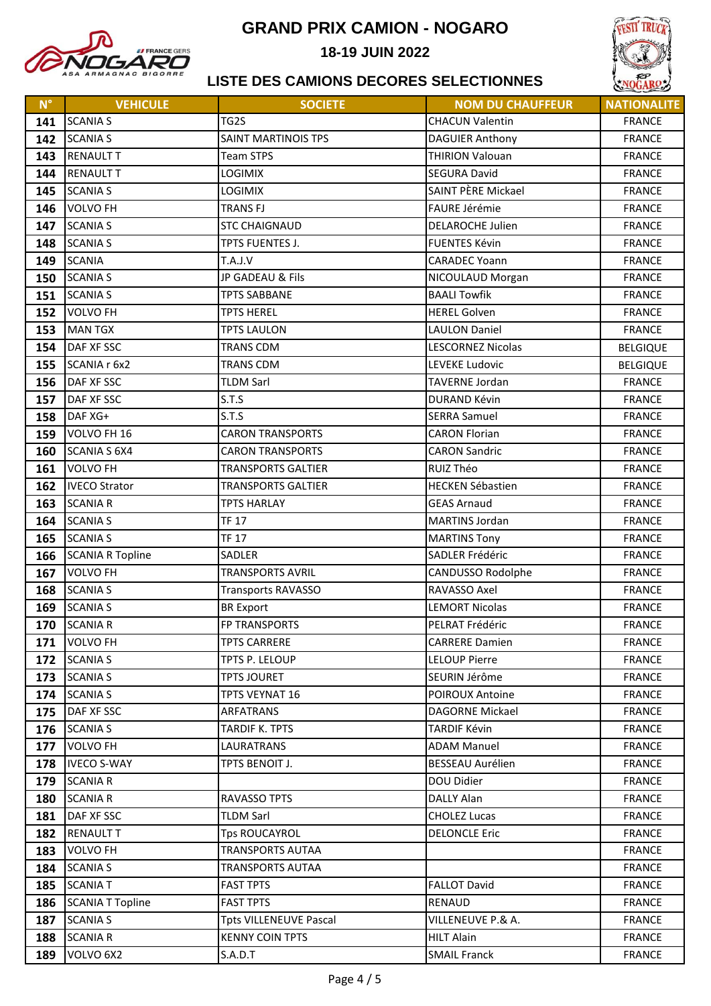

18-19 JUIN 2022



| $N^{\circ}$ | <b>VEHICULE</b>                    | <b>SOCIETE</b>                | <b>NOM DU CHAUFFEUR</b>                | <b>NATIONALITE</b>             |
|-------------|------------------------------------|-------------------------------|----------------------------------------|--------------------------------|
| 141         | <b>SCANIA S</b>                    | TG2S                          | <b>CHACUN Valentin</b>                 | <b>FRANCE</b>                  |
| 142         | <b>SCANIA S</b>                    | SAINT MARTINOIS TPS           | <b>DAGUIER Anthony</b>                 | <b>FRANCE</b>                  |
| 143         | <b>RENAULT T</b>                   | <b>Team STPS</b>              | <b>THIRION Valouan</b>                 | <b>FRANCE</b>                  |
| 144         | <b>RENAULT T</b>                   | <b>LOGIMIX</b>                | <b>SEGURA David</b>                    | <b>FRANCE</b>                  |
| 145         | <b>SCANIA S</b>                    | LOGIMIX                       | SAINT PÈRE Mickael                     | <b>FRANCE</b>                  |
| 146         | <b>VOLVO FH</b>                    | <b>TRANS FJ</b>               | FAURE Jérémie                          | <b>FRANCE</b>                  |
| 147         | <b>SCANIA S</b>                    | <b>STC CHAIGNAUD</b>          | <b>DELAROCHE Julien</b>                | <b>FRANCE</b>                  |
| 148         | <b>SCANIA S</b>                    | TPTS FUENTES J.               | <b>FUENTES Kévin</b>                   | <b>FRANCE</b>                  |
| 149         | <b>SCANIA</b>                      | T.A.J.V                       | <b>CARADEC Yoann</b>                   | <b>FRANCE</b>                  |
| 150         | <b>SCANIA S</b>                    | JP GADEAU & Fils              | NICOULAUD Morgan                       | <b>FRANCE</b>                  |
| 151         | <b>SCANIA S</b>                    | <b>TPTS SABBANE</b>           | <b>BAALI Towfik</b>                    | <b>FRANCE</b>                  |
| 152         | <b>VOLVO FH</b>                    | <b>TPTS HEREL</b>             | <b>HEREL Golven</b>                    | <b>FRANCE</b>                  |
| 153         | <b>MAN TGX</b>                     | <b>TPTS LAULON</b>            | <b>LAULON Daniel</b>                   | <b>FRANCE</b>                  |
| 154         | DAF XF SSC                         | <b>TRANS CDM</b>              | <b>LESCORNEZ Nicolas</b>               | <b>BELGIQUE</b>                |
| 155         | SCANIA r 6x2                       | <b>TRANS CDM</b>              | LEVEKE Ludovic                         | <b>BELGIQUE</b>                |
| 156         | DAF XF SSC                         | <b>TLDM Sarl</b>              | <b>TAVERNE Jordan</b>                  | <b>FRANCE</b>                  |
| 157         | DAF XF SSC                         | S.T.S                         | DURAND Kévin                           | <b>FRANCE</b>                  |
| 158         | DAF XG+                            | S.T.S                         | <b>SERRA Samuel</b>                    | <b>FRANCE</b>                  |
| 159         | VOLVO FH 16                        | <b>CARON TRANSPORTS</b>       | <b>CARON Florian</b>                   | <b>FRANCE</b>                  |
| 160         | <b>SCANIA S 6X4</b>                | <b>CARON TRANSPORTS</b>       | <b>CARON Sandric</b>                   | <b>FRANCE</b>                  |
| 161         | <b>VOLVO FH</b>                    | <b>TRANSPORTS GALTIER</b>     | RUIZ Théo                              | <b>FRANCE</b>                  |
| 162         | <b>IVECO Strator</b>               | <b>TRANSPORTS GALTIER</b>     | <b>HECKEN Sébastien</b>                | <b>FRANCE</b>                  |
| 163         | <b>SCANIA R</b>                    | <b>TPTS HARLAY</b>            | <b>GEAS Arnaud</b>                     | <b>FRANCE</b>                  |
| 164         | <b>SCANIA S</b>                    | <b>TF 17</b>                  | <b>MARTINS Jordan</b>                  | <b>FRANCE</b>                  |
| 165         | <b>SCANIA S</b>                    | <b>TF 17</b>                  | <b>MARTINS Tony</b>                    | <b>FRANCE</b>                  |
| 166         | <b>SCANIA R Topline</b>            | <b>SADLER</b>                 | SADLER Frédéric                        | <b>FRANCE</b>                  |
| 167         | <b>VOLVO FH</b>                    | <b>TRANSPORTS AVRIL</b>       | CANDUSSO Rodolphe                      | <b>FRANCE</b>                  |
| 168         | <b>SCANIA S</b>                    | <b>Transports RAVASSO</b>     | RAVASSO Axel                           | <b>FRANCE</b>                  |
| 169         | <b>SCANIA S</b>                    | <b>BR Export</b>              | <b>LEMORT Nicolas</b>                  | <b>FRANCE</b>                  |
| 170         | <b>SCANIA R</b>                    | FP TRANSPORTS                 | PELRAT Frédéric                        | <b>FRANCE</b>                  |
| 171         | <b>VOLVO FH</b>                    | <b>TPTS CARRERE</b>           | <b>CARRERE Damien</b>                  | <b>FRANCE</b>                  |
| 172         | <b>SCANIA S</b>                    | TPTS P. LELOUP                | <b>LELOUP Pierre</b>                   | <b>FRANCE</b>                  |
| 173         | <b>SCANIA S</b>                    | <b>TPTS JOURET</b>            | SEURIN Jérôme                          | <b>FRANCE</b>                  |
| 174         | <b>SCANIA S</b>                    | <b>TPTS VEYNAT 16</b>         | <b>POIROUX Antoine</b>                 | <b>FRANCE</b>                  |
| 175         | DAF XF SSC                         | ARFATRANS                     | DAGORNE Mickael<br><b>TARDIF Kévin</b> | <b>FRANCE</b>                  |
| 176         | <b>SCANIA S</b><br><b>VOLVO FH</b> | TARDIF K. TPTS<br>LAURATRANS  | <b>ADAM Manuel</b>                     | <b>FRANCE</b><br><b>FRANCE</b> |
| 177         | <b>IVECO S-WAY</b>                 | TPTS BENOIT J.                | <b>BESSEAU Aurélien</b>                | <b>FRANCE</b>                  |
| 178<br>179  | <b>SCANIA R</b>                    |                               | DOU Didier                             | <b>FRANCE</b>                  |
| 180         | <b>SCANIA R</b>                    | <b>RAVASSO TPTS</b>           | DALLY Alan                             | <b>FRANCE</b>                  |
| 181         | DAF XF SSC                         | <b>TLDM Sarl</b>              | <b>CHOLEZ Lucas</b>                    | <b>FRANCE</b>                  |
| 182         | <b>RENAULT T</b>                   | <b>Tps ROUCAYROL</b>          | <b>DELONCLE Eric</b>                   | <b>FRANCE</b>                  |
| 183         | <b>VOLVO FH</b>                    | <b>TRANSPORTS AUTAA</b>       |                                        | <b>FRANCE</b>                  |
| 184         | <b>SCANIA S</b>                    | <b>TRANSPORTS AUTAA</b>       |                                        | <b>FRANCE</b>                  |
| 185         | <b>SCANIA T</b>                    | <b>FAST TPTS</b>              | <b>FALLOT David</b>                    | <b>FRANCE</b>                  |
| 186         | <b>SCANIA T Topline</b>            | <b>FAST TPTS</b>              | RENAUD                                 | <b>FRANCE</b>                  |
| 187         | <b>SCANIA S</b>                    | <b>Tpts VILLENEUVE Pascal</b> | VILLENEUVE P.& A.                      | <b>FRANCE</b>                  |
| 188         | <b>SCANIA R</b>                    | <b>KENNY COIN TPTS</b>        | <b>HILT Alain</b>                      | <b>FRANCE</b>                  |
| 189         | VOLVO 6X2                          | S.A.D.T                       | <b>SMAIL Franck</b>                    | <b>FRANCE</b>                  |
|             |                                    |                               |                                        |                                |